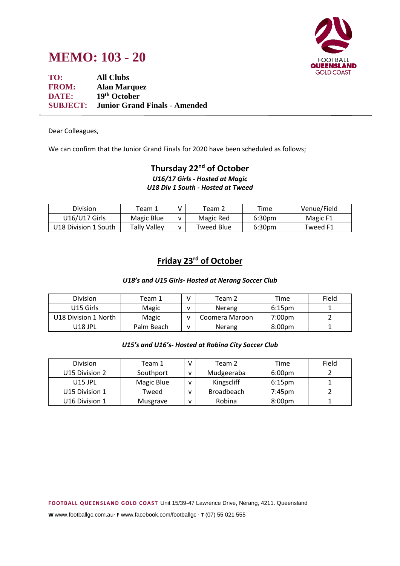



**TO: All Clubs FROM: Alan Marquez DATE: 19th October SUBJECT: Junior Grand Finals - Amended**

Dear Colleagues,

We can confirm that the Junior Grand Finals for 2020 have been scheduled as follows;

## **Thursday 22 nd of October**

*U16/17 Girls - Hosted at Magic U18 Div 1 South - Hosted at Tweed*

| Division             | Team 1       | V            | $\tau$ eam 2 | Time               | Venue/Field |
|----------------------|--------------|--------------|--------------|--------------------|-------------|
| U16/U17 Girls        | Magic Blue   | v            | Magic Red    | 6:30 <sub>pm</sub> | Magic F1    |
| U18 Division 1 South | Tally Valley | $\mathbf{v}$ | Tweed Blue   | 6:30 <sub>pm</sub> | Tweed F1    |

## **Friday 23rd of October**

#### *U18's and U15 Girls- Hosted at Nerang Soccer Club*

| <b>Division</b>      | Team 1     | Team 2         | Time               | Field |
|----------------------|------------|----------------|--------------------|-------|
| U15 Girls            | Magic      | <b>Nerang</b>  | 6:15 <sub>pm</sub> |       |
| U18 Division 1 North | Magic      | Coomera Maroon | 7:00pm             |       |
| U18 JPL              | Palm Beach | <b>Nerang</b>  | 8:00 <sub>pm</sub> |       |

#### *U15's and U16's- Hosted at Robina City Soccer Club*

| <b>Division</b> | Team 1     | Team 2            | Time               | Field |
|-----------------|------------|-------------------|--------------------|-------|
| U15 Division 2  | Southport  | Mudgeeraba        | 6:00pm             |       |
| $U15$ JPL       | Magic Blue | Kingscliff        | $6:15$ pm          |       |
| U15 Division 1  | Tweed      | <b>Broadbeach</b> | $7:45$ pm          |       |
| U16 Division 1  | Musgrave   | Robina            | 8:00 <sub>pm</sub> |       |

**F OOTB ALL Q UE EN S LAN D GOLD C OAS T** Unit 15/39-47 Lawrence Drive, Nerang, 4211. Queensland

**W** www.footballgc.com.au. **F** www.facebook.com/footballgc . **T** (07) 55 021 555